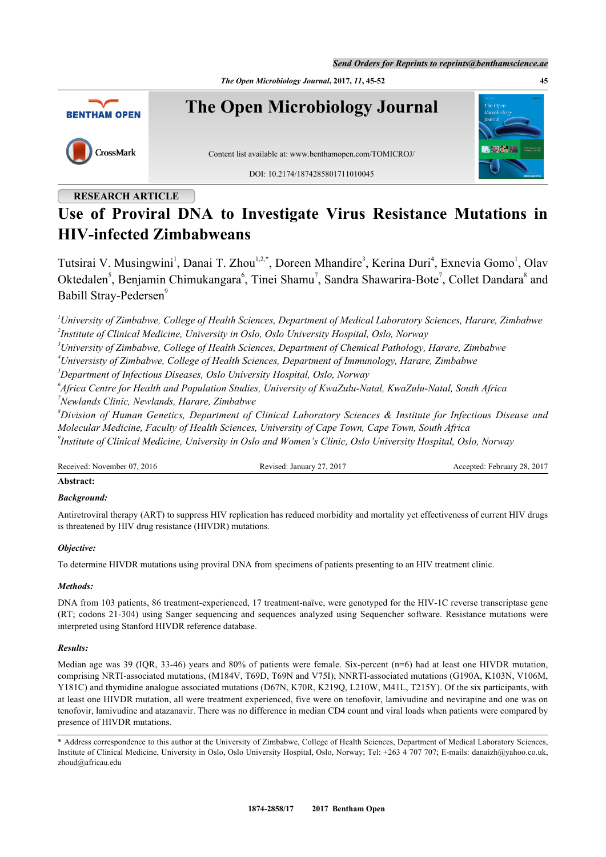*The Open Microbiology Journal***, 2017,** *11***, 45-52 45**



# **RESEARCH ARTICLE**

# **Use of Proviral DNA to Investigate Virus Resistance Mutations in HIV-infected Zimbabweans**

Tutsirai V. Musingwini<sup>[1](#page-0-0)</sup>, Danai T. Zhou<sup>1,[2](#page-0-1),[\\*](#page-0-2)</sup>, Doreen Mhandire<sup>[3](#page-0-3)</sup>, Kerina Duri<sup>[4](#page-0-4)</sup>, Exnevia Gomo<sup>1</sup>, Olav Oktedalen<sup>[5](#page-0-5)</sup>, Benjamin Chimukangara<sup>[6](#page-0-6)</sup>, Tinei Shamu<sup>[7](#page-0-7)</sup>, Sandra Shawarira-Bote<sup>7</sup>, Collet Dandara<sup>[8](#page-0-8)</sup> and Babill Stray-Pedersen<sup>[9](#page-0-9)</sup>

<span id="page-0-1"></span><span id="page-0-0"></span>*<sup>1</sup>University of Zimbabwe, College of Health Sciences, Department of Medical Laboratory Sciences, Harare, Zimbabwe 2 Institute of Clinical Medicine, University in Oslo, Oslo University Hospital, Oslo, Norway*

<span id="page-0-3"></span>*<sup>3</sup>University of Zimbabwe, College of Health Sciences, Department of Chemical Pathology, Harare, Zimbabwe*

<span id="page-0-4"></span>*<sup>4</sup>Universisty of Zimbabwe, College of Health Sciences, Department of Immunology, Harare, Zimbabwe*

<span id="page-0-5"></span>*<sup>5</sup>Department of Infectious Diseases, Oslo University Hospital, Oslo, Norway*

<span id="page-0-7"></span><span id="page-0-6"></span>*6 Africa Centre for Health and Population Studies, University of KwaZulu-Natal, KwaZulu-Natal, South Africa <sup>7</sup>Newlands Clinic, Newlands, Harare, Zimbabwe*

<span id="page-0-9"></span><span id="page-0-8"></span>*<sup>8</sup>Division of Human Genetics, Department of Clinical Laboratory Sciences & Institute for Infectious Disease and Molecular Medicine, Faculty of Health Sciences, University of Cape Town, Cape Town, South Africa 9 Institute of Clinical Medicine, University in Oslo and Women's Clinic, Oslo University Hospital, Oslo, Norway*

Received: November 07, 2016 Revised: January 27, 2017 Accepted: February 28, 2017

## **Abstract:**

## *Background:*

Antiretroviral therapy (ART) to suppress HIV replication has reduced morbidity and mortality yet effectiveness of current HIV drugs is threatened by HIV drug resistance (HIVDR) mutations.

## *Objective:*

To determine HIVDR mutations using proviral DNA from specimens of patients presenting to an HIV treatment clinic.

## *Methods:*

DNA from 103 patients, 86 treatment-experienced, 17 treatment-naïve, were genotyped for the HIV-1C reverse transcriptase gene (RT; codons 21-304) using Sanger sequencing and sequences analyzed using Sequencher software. Resistance mutations were interpreted using Stanford HIVDR reference database.

## *Results:*

Median age was 39 (IQR, 33-46) years and 80% of patients were female. Six-percent (n=6) had at least one HIVDR mutation, comprising NRTI-associated mutations, (M184V, T69D, T69N and V75I); NNRTI-associated mutations (G190A, K103N, V106M, Y181C) and thymidine analogue associated mutations (D67N, K70R, K219Q, L210W, M41L, T215Y). Of the six participants, with at least one HIVDR mutation, all were treatment experienced, five were on tenofovir, lamivudine and nevirapine and one was on tenofovir, lamivudine and atazanavir. There was no difference in median CD4 count and viral loads when patients were compared by presence of HIVDR mutations.

<span id="page-0-2"></span>\* Address correspondence to this author at the University of Zimbabwe, College of Health Sciences, Department of Medical Laboratory Sciences, Institute of Clinical Medicine, University in Oslo, Oslo University Hospital, Oslo, Norway; Tel: +263 4 707 707; E-mails: [danaizh@yahoo.co.uk,](mailto:danaizh@yahoo.co.uk) [zhoud@africau.edu](mailto:zhoud@africau.edu)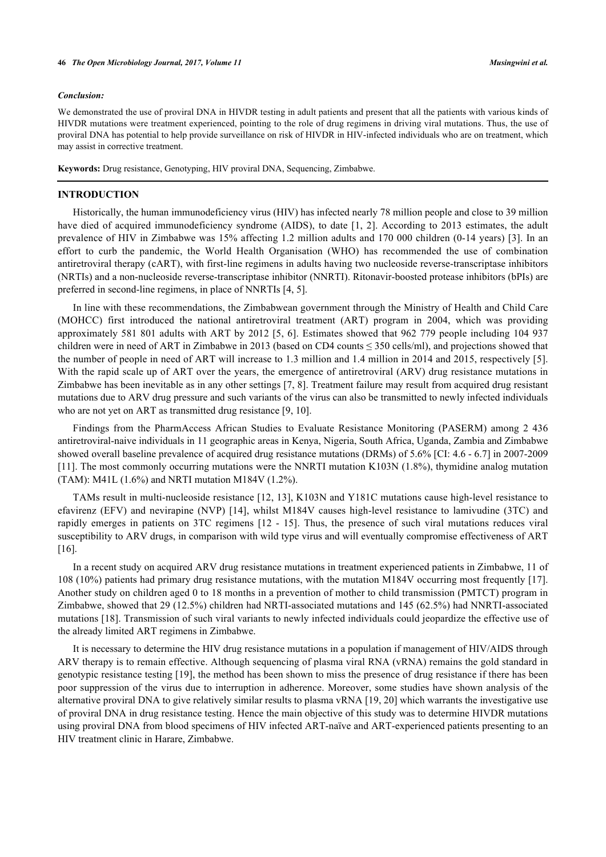#### *Conclusion:*

We demonstrated the use of proviral DNA in HIVDR testing in adult patients and present that all the patients with various kinds of HIVDR mutations were treatment experienced, pointing to the role of drug regimens in driving viral mutations. Thus, the use of proviral DNA has potential to help provide surveillance on risk of HIVDR in HIV-infected individuals who are on treatment, which may assist in corrective treatment.

**Keywords:** Drug resistance, Genotyping, HIV proviral DNA, Sequencing, Zimbabwe.

## **INTRODUCTION**

Historically, the human immunodeficiency virus (HIV) has infected nearly 78 million people and close to 39 million have died of acquired immunodeficiency syndrome (AIDS), to date [[1](#page-5-0), [2](#page-5-1)]. According to 2013 estimates, the adult prevalence of HIV in Zimbabwe was 15% affecting 1.2 million adults and 170 000 children (0-14 years) [[3\]](#page-5-2). In an effort to curb the pandemic, the World Health Organisation (WHO) has recommended the use of combination antiretroviral therapy (cART), with first-line regimens in adults having two nucleoside reverse-transcriptase inhibitors (NRTIs) and a non-nucleoside reverse-transcriptase inhibitor (NNRTI). Ritonavir-boosted protease inhibitors (bPIs) are preferred in second-line regimens, in place of NNRTIs [\[4](#page-6-0), [5](#page-6-1)].

In line with these recommendations, the Zimbabwean government through the Ministry of Health and Child Care (MOHCC) first introduced the national antiretroviral treatment (ART) program in 2004, which was providing approximately 581 801 adults with ART by 2012 [\[5](#page-6-1), [6\]](#page-6-2). Estimates showed that 962 779 people including 104 937 children were in need of ART in Zimbabwe in 2013 (based on CD4 counts  $\leq$  350 cells/ml), and projections showed that the number of people in need of ART will increase to 1.3 million and 1.4 million in 2014 and 2015, respectively [[5\]](#page-6-1). With the rapid scale up of ART over the years, the emergence of antiretroviral (ARV) drug resistance mutations in Zimbabwe has been inevitable as in any other settings [[7,](#page-6-3) [8](#page-6-4)]. Treatment failure may result from acquired drug resistant mutations due to ARV drug pressure and such variants of the virus can also be transmitted to newly infected individuals who are not yet on ART as transmitted drug resistance [[9,](#page-6-5) [10\]](#page-6-6).

Findings from the PharmAccess African Studies to Evaluate Resistance Monitoring (PASERM) among 2 436 antiretroviral-naive individuals in 11 geographic areas in Kenya, Nigeria, South Africa, Uganda, Zambia and Zimbabwe showed overall baseline prevalence of acquired drug resistance mutations (DRMs) of 5.6% [CI: 4.6 - 6.7] in 2007-2009 [\[11](#page-6-7)]. The most commonly occurring mutations were the NNRTI mutation K103N (1.8%), thymidine analog mutation (TAM): M41L (1.6%) and NRTI mutation M184V (1.2%).

TAMs result in multi-nucleoside resistance [\[12](#page-6-8), [13](#page-6-9)], K103N and Y181C mutations cause high-level resistance to efavirenz (EFV) and nevirapine (NVP)[[14\]](#page-6-10), whilst M184V causes high-level resistance to lamivudine (3TC) and rapidly emerges in patients on 3TC regimens[[12](#page-6-8) - [15\]](#page-6-11). Thus, the presence of such viral mutations reduces viral susceptibility to ARV drugs, in comparison with wild type virus and will eventually compromise effectiveness of ART [\[16](#page-6-12)].

In a recent study on acquired ARV drug resistance mutations in treatment experienced patients in Zimbabwe, 11 of 108 (10%) patients had primary drug resistance mutations, with the mutation M184V occurring most frequently [[17\]](#page-6-13). Another study on children aged 0 to 18 months in a prevention of mother to child transmission (PMTCT) program in Zimbabwe, showed that 29 (12.5%) children had NRTI-associated mutations and 145 (62.5%) had NNRTI-associated mutations [[18](#page-6-14)]. Transmission of such viral variants to newly infected individuals could jeopardize the effective use of the already limited ART regimens in Zimbabwe.

It is necessary to determine the HIV drug resistance mutations in a population if management of HIV/AIDS through ARV therapy is to remain effective. Although sequencing of plasma viral RNA (vRNA) remains the gold standard in genotypic resistance testing [[19\]](#page-6-15), the method has been shown to miss the presence of drug resistance if there has been poor suppression of the virus due to interruption in adherence. Moreover, some studies have shown analysis of the alternative proviral DNA to give relatively similar results to plasma vRNA [\[19](#page-6-15), [20](#page-6-16)] which warrants the investigative use of proviral DNA in drug resistance testing. Hence the main objective of this study was to determine HIVDR mutations using proviral DNA from blood specimens of HIV infected ART-naïve and ART-experienced patients presenting to an HIV treatment clinic in Harare, Zimbabwe.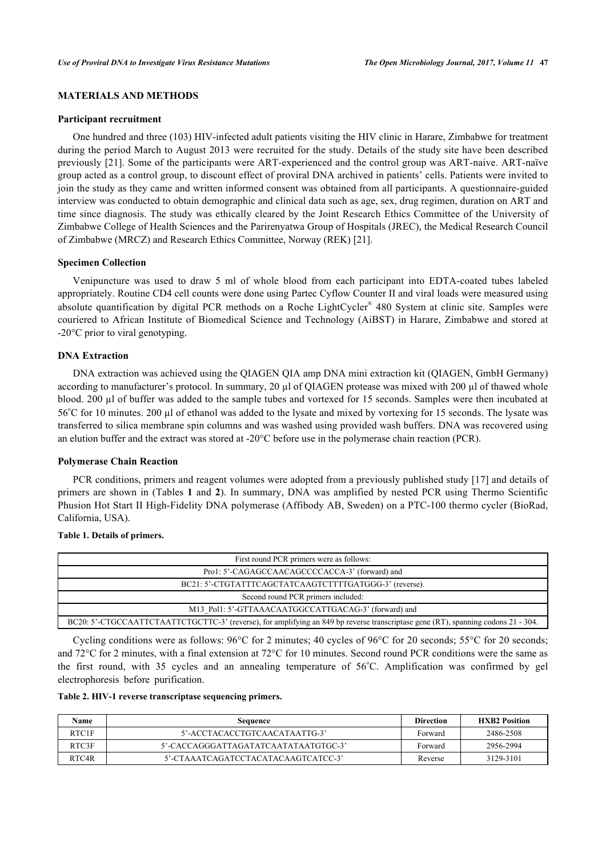## **MATERIALS AND METHODS**

#### **Participant recruitment**

One hundred and three (103) HIV-infected adult patients visiting the HIV clinic in Harare, Zimbabwe for treatment during the period March to August 2013 were recruited for the study. Details of the study site have been described previously [\[21\]](#page-6-17). Some of the participants were ART-experienced and the control group was ART-naive. ART-naïve group acted as a control group, to discount effect of proviral DNA archived in patients' cells. Patients were invited to join the study as they came and written informed consent was obtained from all participants. A questionnaire-guided interview was conducted to obtain demographic and clinical data such as age, sex, drug regimen, duration on ART and time since diagnosis. The study was ethically cleared by the Joint Research Ethics Committee of the University of Zimbabwe College of Health Sciences and the Parirenyatwa Group of Hospitals (JREC), the Medical Research Council of Zimbabwe (MRCZ) and Research Ethics Committee, Norway (REK) [[21\]](#page-6-17).

## **Specimen Collection**

Venipuncture was used to draw 5 ml of whole blood from each participant into EDTA-coated tubes labeled appropriately. Routine CD4 cell counts were done using Partec Cyflow Counter II and viral loads were measured using absolute quantification by digital PCR methods on a Roche LightCycler® 480 System at clinic site. Samples were couriered to African Institute of Biomedical Science and Technology (AiBST) in Harare, Zimbabwe and stored at -20°C prior to viral genotyping.

#### **DNA Extraction**

DNA extraction was achieved using the QIAGEN QIA amp DNA mini extraction kit (QIAGEN, GmbH Germany) according to manufacturer's protocol. In summary, 20 µl of QIAGEN protease was mixed with 200 µl of thawed whole blood. 200 µl of buffer was added to the sample tubes and vortexed for 15 seconds. Samples were then incubated at  $56^{\circ}$ C for 10 minutes. 200 µl of ethanol was added to the lysate and mixed by vortexing for 15 seconds. The lysate was transferred to silica membrane spin columns and was washed using provided wash buffers. DNA was recovered using an elution buffer and the extract was stored at -20°C before use in the polymerase chain reaction (PCR).

## **Polymerase Chain Reaction**

PCR conditions, primers and reagent volumes were adopted from a previously published study [[17](#page-6-13)] and details of primers are shown in (Tables **[1](#page-2-0)** and **[2](#page-2-1)**). In summary, DNA was amplified by nested PCR using Thermo Scientific Phusion Hot Start II High-Fidelity DNA polymerase (Affibody AB, Sweden) on a PTC-100 thermo cycler (BioRad, California, USA).

## <span id="page-2-0"></span>**Table 1. Details of primers.**

| First round PCR primers were as follows:                                                                                          |
|-----------------------------------------------------------------------------------------------------------------------------------|
| Pro1: 5'-CAGAGCCAACAGCCCCACCA-3' (forward) and                                                                                    |
| BC21: 5'-CTGTATTTCAGCTATCAAGTCTTTTGATGGG-3' (reverse).                                                                            |
| Second round PCR primers included:                                                                                                |
| M13 Pol1: 5'-GTTAAACAATGGCCATTGACAG-3' (forward) and                                                                              |
| BC20: 5'-CTGCCAATTCTAATTCTGCTTC-3' (reverse), for amplifying an 849 bp reverse transcriptase gene (RT), spanning codons 21 - 304. |

Cycling conditions were as follows: 96°C for 2 minutes; 40 cycles of 96°C for 20 seconds; 55°C for 20 seconds; and 72°C for 2 minutes, with a final extension at 72°C for 10 minutes. Second round PCR conditions were the same as the first round, with 35 cycles and an annealing temperature of 56°C. Amplification was confirmed by gel electrophoresis before purification.

## <span id="page-2-1"></span>**Table 2. HIV-1 reverse transcriptase sequencing primers.**

| Name  | Sequence                             | <b>Direction</b> | <b>HXB2</b> Position |
|-------|--------------------------------------|------------------|----------------------|
| RTC1F | 5'-ACCTACACCTGTCAACATAATTG-3'        | Forward          | 2486-2508            |
| RTC3F | 5'-CACCAGGGATTAGATATCAATATAATGTGC-3' | Forward          | 2956-2994            |
| RTC4R | 5'-CTAAATCAGATCCTACATACAAGTCATCC-3'  | Reverse          | 3129-3101            |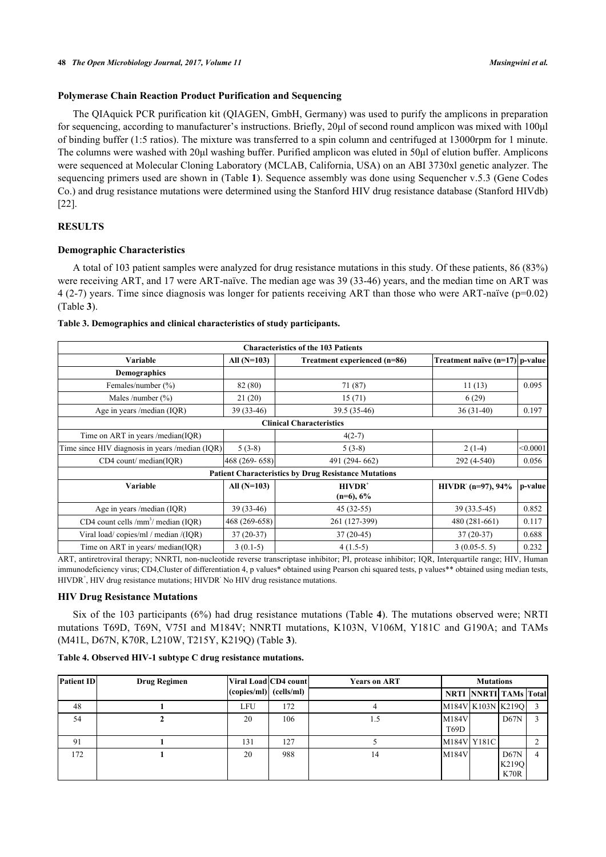## **Polymerase Chain Reaction Product Purification and Sequencing**

The QIAquick PCR purification kit (QIAGEN, GmbH, Germany) was used to purify the amplicons in preparation for sequencing, according to manufacturer's instructions. Briefly, 20μl of second round amplicon was mixed with 100μl of binding buffer (1:5 ratios). The mixture was transferred to a spin column and centrifuged at 13000rpm for 1 minute. The columns were washed with 20μl washing buffer. Purified amplicon was eluted in 50μl of elution buffer. Amplicons were sequenced at Molecular Cloning Laboratory (MCLAB, California, USA) on an ABI 3730xl genetic analyzer. The sequencing primers used are shown in (Table **[1](#page-2-0)**). Sequence assembly was done using Sequencher v.5.3 (Gene Codes Co.) and drug resistance mutations were determined using the Stanford HIV drug resistance database (Stanford HIVdb) [\[22](#page-6-18)].

# **RESULTS**

## **Demographic Characteristics**

A total of 103 patient samples were analyzed for drug resistance mutations in this study. Of these patients, 86 (83%) were receiving ART, and 17 were ART-naïve. The median age was 39 (33-46) years, and the median time on ART was 4 (2-7) years. Time since diagnosis was longer for patients receiving ART than those who were ART-naïve (p=0.02) (Table **[3](#page-3-0)**).

| <b>Characteristics of the 103 Patients</b>      |               |                                                             |                                |          |  |  |  |  |
|-------------------------------------------------|---------------|-------------------------------------------------------------|--------------------------------|----------|--|--|--|--|
| Variable                                        | All $(N=103)$ | Treatment experienced (n=86)                                | Treatment naïve (n=17) p-value |          |  |  |  |  |
| <b>Demographics</b>                             |               |                                                             |                                |          |  |  |  |  |
| Females/number (%)                              | 82 (80)       | 71 (87)                                                     | 11(13)                         | 0.095    |  |  |  |  |
| Males/number $(\% )$                            | 21(20)        | 15(71)                                                      | 6(29)                          |          |  |  |  |  |
| Age in years /median (IQR)                      | $39(33-46)$   | 39.5 (35-46)                                                | $36(31-40)$                    | 0.197    |  |  |  |  |
|                                                 |               | <b>Clinical Characteristics</b>                             |                                |          |  |  |  |  |
| Time on ART in years /median(IQR)               |               | $4(2-7)$                                                    |                                |          |  |  |  |  |
| Time since HIV diagnosis in years /median (IQR) | $5(3-8)$      | $5(3-8)$                                                    | $2(1-4)$                       | < 0.0001 |  |  |  |  |
| CD4 count/ median(IOR)                          | 468 (269-658) | 491 (294-662)                                               | 292 (4-540)                    | 0.056    |  |  |  |  |
|                                                 |               | <b>Patient Characteristics by Drug Resistance Mutations</b> |                                |          |  |  |  |  |
| Variable                                        | All $(N=103)$ | $HIVDR+$                                                    | $HIVDR (n=97), 94%$            | p-value  |  |  |  |  |
|                                                 |               | $(n=6), 6\%$                                                |                                |          |  |  |  |  |
| Age in years /median (IQR)                      | $39(33-46)$   | $45(32-55)$                                                 | 39 (33.5-45)                   | 0.852    |  |  |  |  |
| CD4 count cells / $mm3$ / median (IQR)          | 468 (269-658) | 261 (127-399)                                               | 480 (281-661)                  | 0.117    |  |  |  |  |
| Viral load/copies/ml/median/(IQR)               | $37(20-37)$   | $37(20-45)$                                                 | $37(20-37)$                    | 0.688    |  |  |  |  |
| Time on ART in years/ median(IQR)               | $3(0.1-5)$    | $4(1.5-5)$                                                  | $3(0.05-5.5)$                  | 0.232    |  |  |  |  |

#### <span id="page-3-0"></span>**Table 3. Demographics and clinical characteristics of study participants.**

ART, antiretroviral therapy; NNRTI, non-nucleotide reverse transcriptase inhibitor; PI, protease inhibitor; IQR, Interquartile range; HIV, Human immunodeficiency virus; CD4,Cluster of differentiation 4, p values\* obtained using Pearson chi squared tests, p values\*\* obtained using median tests, HIVDR<sup>+</sup>, HIV drug resistance mutations; HIVDR<sup>-</sup> No HIV drug resistance mutations.

## **HIV Drug Resistance Mutations**

Six of the 103 participants (6%) had drug resistance mutations (Table **[4](#page-3-1)**). The mutations observed were; NRTI mutations T69D, T69N, V75I and M184V; NNRTI mutations, K103N, V106M, Y181C and G190A; and TAMs (M41L, D67N, K70R, L210W, T215Y, K219Q) (Table **[3](#page-3-0)**).

<span id="page-3-1"></span>

| Table 4. Observed HIV-1 subtype C drug resistance mutations. |  |
|--------------------------------------------------------------|--|
|--------------------------------------------------------------|--|

| <b>Patient ID</b> | <b>Drug Regimen</b> | Viral Load CD4 count<br>$\vert$ (copies/ml) $\vert$ (cells/ml) |     | <b>Years on ART</b> |                            | <b>Mutations</b>             |                       |   |
|-------------------|---------------------|----------------------------------------------------------------|-----|---------------------|----------------------------|------------------------------|-----------------------|---|
|                   |                     |                                                                |     |                     |                            | <b>NRTI NNRTI TAMs Total</b> |                       |   |
| 48                |                     | <b>LFU</b>                                                     | 172 |                     |                            | M184V K103N K219O            |                       |   |
| 54                |                     | 20                                                             | 106 | 1.5                 | M184V<br>T <sub>69</sub> D |                              | D67N                  |   |
| 91                |                     | 131                                                            | 127 |                     |                            | M184V Y181C                  |                       |   |
| 172               |                     | 20                                                             | 988 | 14                  | M184V                      |                              | D67N<br>K219O<br>K70R | 4 |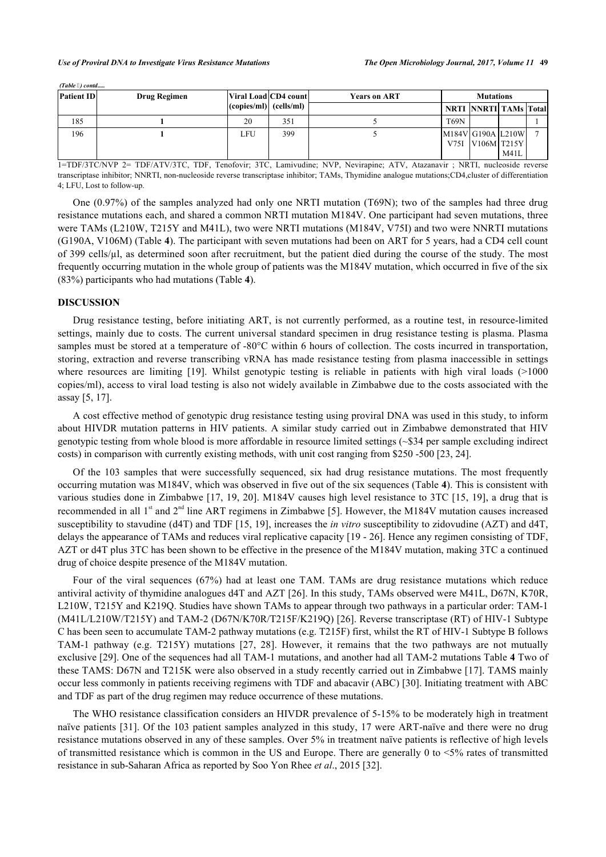| <b>Patient ID</b> | <b>Drug Regimen</b> |                          | Viral Load CD4 count | <b>Years on ART</b> |             | <b>Mutations</b>             |      |  |
|-------------------|---------------------|--------------------------|----------------------|---------------------|-------------|------------------------------|------|--|
|                   |                     | (copies/ml)   (cells/ml) |                      |                     |             | <b>NRTI NNRTI TAMs Total</b> |      |  |
| 185               |                     | 20                       | 351                  |                     | <b>T69N</b> |                              |      |  |
| 196               |                     | <b>LFU</b>               | 399                  |                     |             | M184V G190A L210W            |      |  |
|                   |                     |                          |                      |                     |             | V75I V106M T215Y             |      |  |
|                   |                     |                          |                      |                     |             |                              | M41L |  |

1=TDF/3TC/NVP 2= TDF/ATV/3TC, TDF, Tenofovir; 3TC, Lamivudine; NVP, Nevirapine; ATV, Atazanavir ; NRTI, nucleoside reverse transcriptase inhibitor; NNRTI, non-nucleoside reverse transcriptase inhibitor; TAMs, Thymidine analogue mutations;CD4,cluster of differentiation 4; LFU, Lost to follow-up.

One (0.97%) of the samples analyzed had only one NRTI mutation (T69N); two of the samples had three drug resistance mutations each, and shared a common NRTI mutation M184V. One participant had seven mutations, three were TAMs (L210W, T215Y and M41L), two were NRTI mutations (M184V, V75I) and two were NNRTI mutations (G190A, V106M) (Table **[4](#page-3-1)**). The participant with seven mutations had been on ART for 5 years, had a CD4 cell count of 399 cells/µl, as determined soon after recruitment, but the patient died during the course of the study. The most frequently occurring mutation in the whole group of patients was the M184V mutation, which occurred in five of the six (83%) participants who had mutations (Table **[4](#page-3-1)**).

#### **DISCUSSION**

*(Table ) contd.....*

Drug resistance testing, before initiating ART, is not currently performed, as a routine test, in resource-limited settings, mainly due to costs. The current universal standard specimen in drug resistance testing is plasma. Plasma samples must be stored at a temperature of -80°C within 6 hours of collection. The costs incurred in transportation, storing, extraction and reverse transcribing vRNA has made resistance testing from plasma inaccessible in settings where resources are limiting [\[19\]](#page-6-15). Whilst genotypic testing is reliable in patients with high viral loads (>1000 copies/ml), access to viral load testing is also not widely available in Zimbabwe due to the costs associated with the assay [\[5](#page-6-1), [17](#page-6-13)].

A cost effective method of genotypic drug resistance testing using proviral DNA was used in this study, to inform about HIVDR mutation patterns in HIV patients. A similar study carried out in Zimbabwe demonstrated that HIV genotypic testing from whole blood is more affordable in resource limited settings (~\$34 per sample excluding indirect costs) in comparison with currently existing methods, with unit cost ranging from \$250 -500 [[23,](#page-6-19) [24\]](#page-6-20).

Of the 103 samples that were successfully sequenced, six had drug resistance mutations. The most frequently occurring mutation was M184V, which was observed in five out of the six sequences (Table **[4](#page-3-1)**). This is consistent with various studies done in Zimbabwe [[17,](#page-6-13) [19,](#page-6-15) [20\]](#page-6-16). M184V causes high level resistance to 3TC [[15,](#page-6-11) [19\]](#page-6-15), a drug that is recommended in all  $1<sup>st</sup>$  and  $2<sup>nd</sup>$  line ART regimens in Zimbabwe [[5\]](#page-6-1). However, the M184V mutation causes increased susceptibility to stavudine (d4T) and TDF [[15](#page-6-11), [19\]](#page-6-15), increases the *in vitro* susceptibility to zidovudine (AZT) and d4T, delays the appearance of TAMs and reduces viral replicative capacity [\[19](#page-6-15) - [26\]](#page-7-0). Hence any regimen consisting of TDF, AZT or d4T plus 3TC has been shown to be effective in the presence of the M184V mutation, making 3TC a continued drug of choice despite presence of the M184V mutation.

Four of the viral sequences (67%) had at least one TAM. TAMs are drug resistance mutations which reduce antiviral activity of thymidine analogues d4T and AZT [\[26\]](#page-7-0). In this study, TAMs observed were M41L, D67N, K70R, L210W, T215Y and K219Q. Studies have shown TAMs to appear through two pathways in a particular order: TAM-1 (M41L/L210W/T215Y) and TAM-2 (D67N/K70R/T215F/K219Q) [\[26](#page-7-0)]. Reverse transcriptase (RT) of HIV-1 Subtype C has been seen to accumulate TAM-2 pathway mutations (e.g. T215F) first, whilst the RT of HIV-1 Subtype B follows TAM-1 pathway (e.g. T215Y) mutations[[27](#page-7-1), [28](#page-7-2)]. However, it remains that the two pathways are not mutually exclusive [\[29](#page-7-3)]. One of the sequences had all TAM-1 mutations, and another had all TAM-2 mutations Table **[4](#page-3-1)** Two of these TAMS: D67N and T215K were also observed in a study recently carried out in Zimbabwe [\[17](#page-6-13)]. TAMS mainly occur less commonly in patients receiving regimens with TDF and abacavir (ABC) [[30\]](#page-7-4). Initiating treatment with ABC and TDF as part of the drug regimen may reduce occurrence of these mutations.

The WHO resistance classification considers an HIVDR prevalence of 5-15% to be moderately high in treatment naïve patients [[31](#page-7-5)]. Of the 103 patient samples analyzed in this study, 17 were ART-naïve and there were no drug resistance mutations observed in any of these samples. Over 5% in treatment naïve patients is reflective of high levels of transmitted resistance which is common in the US and Europe. There are generally 0 to <5% rates of transmitted resistance in sub-Saharan Africa as reported by Soo Yon Rhee *et al*., 2015 [[32\]](#page-7-6).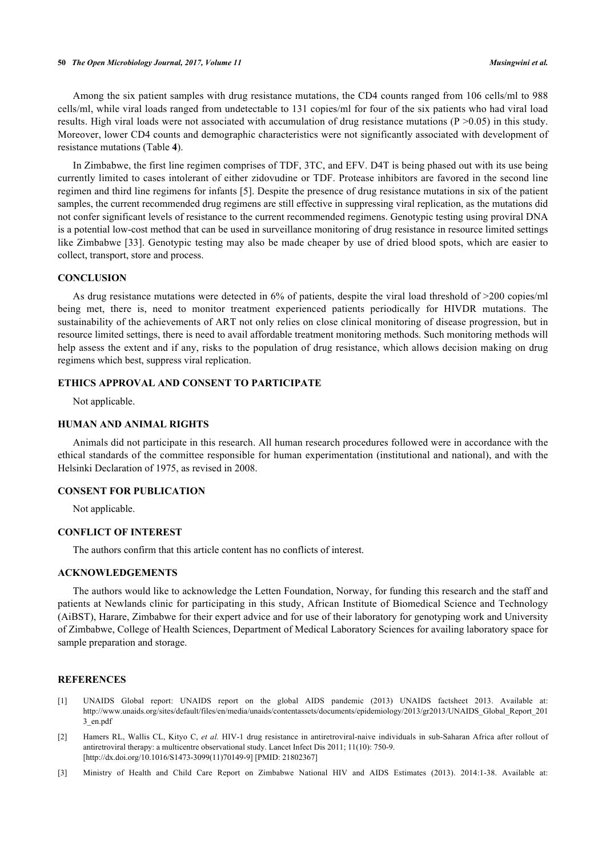Among the six patient samples with drug resistance mutations, the CD4 counts ranged from 106 cells/ml to 988 cells/ml, while viral loads ranged from undetectable to 131 copies/ml for four of the six patients who had viral load results. High viral loads were not associated with accumulation of drug resistance mutations ( $P > 0.05$ ) in this study. Moreover, lower CD4 counts and demographic characteristics were not significantly associated with development of resistance mutations (Table **[4](#page-3-1)**).

In Zimbabwe, the first line regimen comprises of TDF, 3TC, and EFV. D4T is being phased out with its use being currently limited to cases intolerant of either zidovudine or TDF. Protease inhibitors are favored in the second line regimen and third line regimens for infants [[5](#page-6-1)]. Despite the presence of drug resistance mutations in six of the patient samples, the current recommended drug regimens are still effective in suppressing viral replication, as the mutations did not confer significant levels of resistance to the current recommended regimens. Genotypic testing using proviral DNA is a potential low-cost method that can be used in surveillance monitoring of drug resistance in resource limited settings like Zimbabwe [[33](#page-7-7)]. Genotypic testing may also be made cheaper by use of dried blood spots, which are easier to collect, transport, store and process.

## **CONCLUSION**

As drug resistance mutations were detected in 6% of patients, despite the viral load threshold of >200 copies/ml being met, there is, need to monitor treatment experienced patients periodically for HIVDR mutations. The sustainability of the achievements of ART not only relies on close clinical monitoring of disease progression, but in resource limited settings, there is need to avail affordable treatment monitoring methods. Such monitoring methods will help assess the extent and if any, risks to the population of drug resistance, which allows decision making on drug regimens which best, suppress viral replication.

## **ETHICS APPROVAL AND CONSENT TO PARTICIPATE**

Not applicable.

## **HUMAN AND ANIMAL RIGHTS**

Animals did not participate in this research. All human research procedures followed were in accordance with the ethical standards of the committee responsible for human experimentation (institutional and national), and with the Helsinki Declaration of 1975, as revised in 2008.

### **CONSENT FOR PUBLICATION**

Not applicable.

## **CONFLICT OF INTEREST**

The authors confirm that this article content has no conflicts of interest.

# **ACKNOWLEDGEMENTS**

The authors would like to acknowledge the Letten Foundation, Norway, for funding this research and the staff and patients at Newlands clinic for participating in this study, African Institute of Biomedical Science and Technology (AiBST), Harare, Zimbabwe for their expert advice and for use of their laboratory for genotyping work and University of Zimbabwe, College of Health Sciences, Department of Medical Laboratory Sciences for availing laboratory space for sample preparation and storage.

#### **REFERENCES**

- <span id="page-5-0"></span>[1] UNAIDS Global report: UNAIDS report on the global AIDS pandemic (2013) UNAIDS factsheet 2013. Available at: [http://www.unaids.org/sites/default/files/en/media/unaids/contentassets/documents/epidemiology/2013/gr2013/UNAIDS\\_Global\\_Report\\_201](http://www.unaids.org/sites/default/files/en/media/unaids/contentassets/documents/epidemiology/2013/gr2013/UNAIDS_Global_Report_2013_en.pdf) [3\\_en.pdf](http://www.unaids.org/sites/default/files/en/media/unaids/contentassets/documents/epidemiology/2013/gr2013/UNAIDS_Global_Report_2013_en.pdf)
- <span id="page-5-1"></span>[2] Hamers RL, Wallis CL, Kityo C, *et al.* HIV-1 drug resistance in antiretroviral-naive individuals in sub-Saharan Africa after rollout of antiretroviral therapy: a multicentre observational study. Lancet Infect Dis 2011; 11(10): 750-9. [\[http://dx.doi.org/10.1016/S1473-3099\(11\)70149-9\]](http://dx.doi.org/10.1016/S1473-3099(11)70149-9) [PMID: [21802367](http://www.ncbi.nlm.nih.gov/pubmed/21802367)]
- <span id="page-5-2"></span>[3] Ministry of Health and Child Care Report on Zimbabwe National HIV and AIDS Estimates (2013). 2014:1-38. Available at: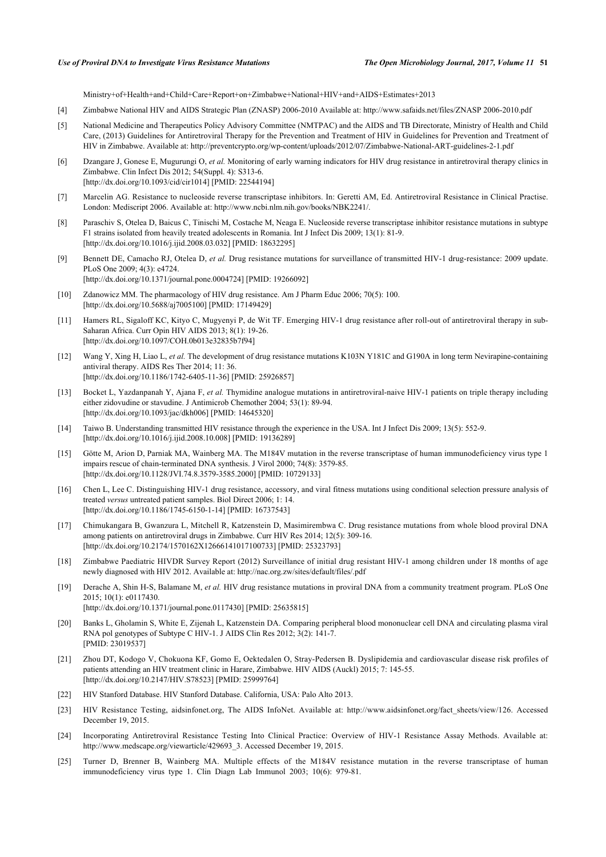[Ministry+of+Health+and+Child+Care+Report+on+Zimbabwe+National+HIV+and+AIDS+Estimates+2013](http://192.168.111.2/oa/Ministry+of+Health+and+Child+Care+Report+on+Zimbabwe+National+HIV+and+AIDS+Estimates+2013)

- <span id="page-6-0"></span>[4] Zimbabwe National HIV and AIDS Strategic Plan (ZNASP) 2006-2010 Available at: [http://www.safaids.net/files/ZNASP 2006-2010.pdf](http://www.safaids.net/files/ZNASP%202006-2010.pdf)
- <span id="page-6-1"></span>[5] National Medicine and Therapeutics Policy Advisory Committee (NMTPAC) and the AIDS and TB Directorate, Ministry of Health and Child Care, (2013) Guidelines for Antiretroviral Therapy for the Prevention and Treatment of HIV in Guidelines for Prevention and Treatment of HIV in Zimbabwe. Available at:<http://preventcrypto.org/wp-content/uploads/2012/07/Zimbabwe-National-ART-guidelines-2-1.pdf>
- <span id="page-6-2"></span>[6] Dzangare J, Gonese E, Mugurungi O, *et al.* Monitoring of early warning indicators for HIV drug resistance in antiretroviral therapy clinics in Zimbabwe. Clin Infect Dis 2012; 54(Suppl. 4): S313-6. [\[http://dx.doi.org/10.1093/cid/cir1014](http://dx.doi.org/10.1093/cid/cir1014)] [PMID: [22544194\]](http://www.ncbi.nlm.nih.gov/pubmed/22544194)
- <span id="page-6-3"></span>[7] Marcelin AG. Resistance to nucleoside reverse transcriptase inhibitors. In: Geretti AM, Ed. Antiretroviral Resistance in Clinical Practise. London: Mediscript 2006. Available at: <http://www.ncbi.nlm.nih.gov/books/NBK2241/>.
- <span id="page-6-4"></span>[8] Paraschiv S, Otelea D, Baicus C, Tinischi M, Costache M, Neaga E. Nucleoside reverse transcriptase inhibitor resistance mutations in subtype F1 strains isolated from heavily treated adolescents in Romania. Int J Infect Dis 2009; 13(1): 81-9. [\[http://dx.doi.org/10.1016/j.ijid.2008.03.032\]](http://dx.doi.org/10.1016/j.ijid.2008.03.032) [PMID: [18632295](http://www.ncbi.nlm.nih.gov/pubmed/18632295)]
- <span id="page-6-5"></span>[9] Bennett DE, Camacho RJ, Otelea D, *et al.* Drug resistance mutations for surveillance of transmitted HIV-1 drug-resistance: 2009 update. PLoS One 2009; 4(3): e4724. [\[http://dx.doi.org/10.1371/journal.pone.0004724](http://dx.doi.org/10.1371/journal.pone.0004724)] [PMID: [19266092\]](http://www.ncbi.nlm.nih.gov/pubmed/19266092)
- <span id="page-6-6"></span>[10] Zdanowicz MM. The pharmacology of HIV drug resistance. Am J Pharm Educ 2006; 70(5): 100. [\[http://dx.doi.org/10.5688/aj7005100\]](http://dx.doi.org/10.5688/aj7005100) [PMID: [17149429](http://www.ncbi.nlm.nih.gov/pubmed/17149429)]
- <span id="page-6-7"></span>[11] Hamers RL, Sigaloff KC, Kityo C, Mugyenyi P, de Wit TF. Emerging HIV-1 drug resistance after roll-out of antiretroviral therapy in sub-Saharan Africa. Curr Opin HIV AIDS 2013; 8(1): 19-26. [\[http://dx.doi.org/10.1097/COH.0b013e32835b7f94\]](http://dx.doi.org/10.1097/COH.0b013e32835b7f94)
- <span id="page-6-8"></span>[12] Wang Y, Xing H, Liao L, *et al.* The development of drug resistance mutations K103N Y181C and G190A in long term Nevirapine-containing antiviral therapy. AIDS Res Ther 2014; 11: 36. [\[http://dx.doi.org/10.1186/1742-6405-11-36\]](http://dx.doi.org/10.1186/1742-6405-11-36) [PMID: [25926857](http://www.ncbi.nlm.nih.gov/pubmed/25926857)]
- <span id="page-6-9"></span>[13] Bocket L, Yazdanpanah Y, Ajana F, *et al.* Thymidine analogue mutations in antiretroviral-naive HIV-1 patients on triple therapy including either zidovudine or stavudine. J Antimicrob Chemother 2004; 53(1): 89-94. [\[http://dx.doi.org/10.1093/jac/dkh006](http://dx.doi.org/10.1093/jac/dkh006)] [PMID: [14645320\]](http://www.ncbi.nlm.nih.gov/pubmed/14645320)
- <span id="page-6-10"></span>[14] Taiwo B. Understanding transmitted HIV resistance through the experience in the USA. Int J Infect Dis 2009; 13(5): 552-9. [\[http://dx.doi.org/10.1016/j.ijid.2008.10.008\]](http://dx.doi.org/10.1016/j.ijid.2008.10.008) [PMID: [19136289](http://www.ncbi.nlm.nih.gov/pubmed/19136289)]
- <span id="page-6-11"></span>[15] Götte M, Arion D, Parniak MA, Wainberg MA. The M184V mutation in the reverse transcriptase of human immunodeficiency virus type 1 impairs rescue of chain-terminated DNA synthesis. J Virol 2000; 74(8): 3579-85. [\[http://dx.doi.org/10.1128/JVI.74.8.3579-3585.2000](http://dx.doi.org/10.1128/JVI.74.8.3579-3585.2000)] [PMID: [10729133\]](http://www.ncbi.nlm.nih.gov/pubmed/10729133)
- <span id="page-6-12"></span>[16] Chen L, Lee C. Distinguishing HIV-1 drug resistance, accessory, and viral fitness mutations using conditional selection pressure analysis of treated *versus* untreated patient samples. Biol Direct 2006; 1: 14. [\[http://dx.doi.org/10.1186/1745-6150-1-14\]](http://dx.doi.org/10.1186/1745-6150-1-14) [PMID: [16737543](http://www.ncbi.nlm.nih.gov/pubmed/16737543)]
- <span id="page-6-13"></span>[17] Chimukangara B, Gwanzura L, Mitchell R, Katzenstein D, Masimirembwa C. Drug resistance mutations from whole blood proviral DNA among patients on antiretroviral drugs in Zimbabwe. Curr HIV Res 2014; 12(5): 309-16. [\[http://dx.doi.org/10.2174/1570162X12666141017100733\]](http://dx.doi.org/10.2174/1570162X12666141017100733) [PMID: [25323793](http://www.ncbi.nlm.nih.gov/pubmed/25323793)]
- <span id="page-6-14"></span>[18] Zimbabwe Paediatric HIVDR Survey Report (2012) Surveillance of initial drug resistant HIV-1 among children under 18 months of age newly diagnosed with HIV 2012. Available at:<http://nac.org.zw/sites/default/files/.pdf>
- <span id="page-6-15"></span>[19] Derache A, Shin H-S, Balamane M, *et al.* HIV drug resistance mutations in proviral DNA from a community treatment program. PLoS One 2015; 10(1): e0117430. [\[http://dx.doi.org/10.1371/journal.pone.0117430](http://dx.doi.org/10.1371/journal.pone.0117430)] [PMID: [25635815\]](http://www.ncbi.nlm.nih.gov/pubmed/25635815)
- 
- <span id="page-6-16"></span>[20] Banks L, Gholamin S, White E, Zijenah L, Katzenstein DA. Comparing peripheral blood mononuclear cell DNA and circulating plasma viral RNA pol genotypes of Subtype C HIV-1. J AIDS Clin Res 2012; 3(2): 141-7. [PMID: [23019537\]](http://www.ncbi.nlm.nih.gov/pubmed/23019537)
- <span id="page-6-17"></span>[21] Zhou DT, Kodogo V, Chokuona KF, Gomo E, Oektedalen O, Stray-Pedersen B. Dyslipidemia and cardiovascular disease risk profiles of patients attending an HIV treatment clinic in Harare, Zimbabwe. HIV AIDS (Auckl) 2015; 7: 145-55. [\[http://dx.doi.org/10.2147/HIV.S78523](http://dx.doi.org/10.2147/HIV.S78523)] [PMID: [25999764](http://www.ncbi.nlm.nih.gov/pubmed/25999764)]
- <span id="page-6-18"></span>[22] HIV Stanford Database. HIV Stanford Database. California, USA: Palo Alto 2013.
- <span id="page-6-19"></span>[23] HIV Resistance Testing, aidsinfonet.org, The AIDS InfoNet. Available at: [http://www.aidsinfonet.org/fact\\_sheets/view/126](http://www.aidsinfonet.org/fact_sheets/view/126). Accessed December 19, 2015.
- <span id="page-6-20"></span>[24] Incorporating Antiretroviral Resistance Testing Into Clinical Practice: Overview of HIV-1 Resistance Assay Methods. Available at: [http://www.medscape.org/viewarticle/429693\\_3](http://www.medscape.org/viewarticle/429693_3). Accessed December 19, 2015.
- [25] Turner D, Brenner B, Wainberg MA. Multiple effects of the M184V resistance mutation in the reverse transcriptase of human immunodeficiency virus type 1. Clin Diagn Lab Immunol 2003; 10(6): 979-81.